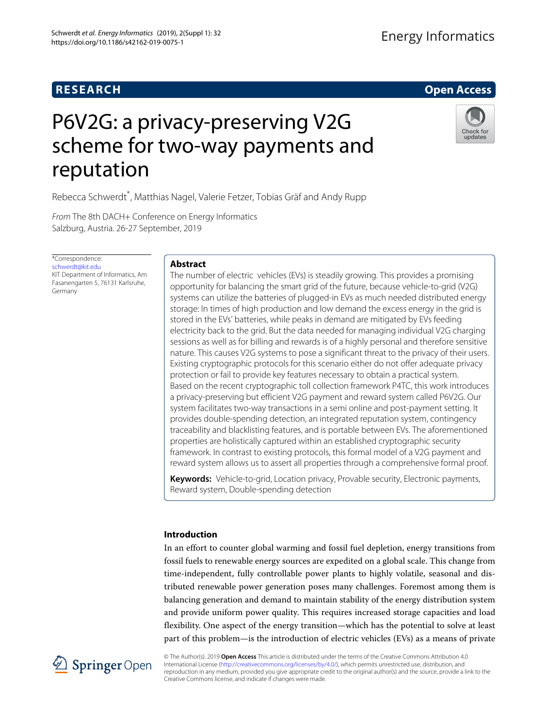# **RESEARCH Open Access**

# Energy Informatics

# P6V2G: a privacy-preserving V2G scheme for two-way payments and reputation

Rebecca Schwerdt\* , Matthias Nagel, Valerie Fetzer, Tobias Gräf and Andy Rupp

From The 8th DACH+ Conference on Energy Informatics Salzburg, Austria. 26-27 September, 2019

\*Correspondence: [schwerdt@kit.edu](mailto: schwerdt@kit.edu) KIT Department of Informatics, Am Fasanengarten 5, 76131 Karlsruhe, Germany

### **Abstract**

The number of electric vehicles (EVs) is steadily growing. This provides a promising opportunity for balancing the smart grid of the future, because vehicle-to-grid (V2G) systems can utilize the batteries of plugged-in EVs as much needed distributed energy storage: In times of high production and low demand the excess energy in the grid is stored in the EVs' batteries, while peaks in demand are mitigated by EVs feeding electricity back to the grid. But the data needed for managing individual V2G charging sessions as well as for billing and rewards is of a highly personal and therefore sensitive nature. This causes V2G systems to pose a significant threat to the privacy of their users. Existing cryptographic protocols for this scenario either do not offer adequate privacy protection or fail to provide key features necessary to obtain a practical system. Based on the recent cryptographic toll collection framework P4TC, this work introduces a privacy-preserving but efficient V2G payment and reward system called P6V2G. Our system facilitates two-way transactions in a semi online and post-payment setting. It provides double-spending detection, an integrated reputation system, contingency traceability and blacklisting features, and is portable between EVs. The aforementioned properties are holistically captured within an established cryptographic security framework. In contrast to existing protocols, this formal model of a V2G payment and reward system allows us to assert all properties through a comprehensive formal proof.

**Keywords:** Vehicle-to-grid, Location privacy, Provable security, Electronic payments, Reward system, Double-spending detection

#### **Introduction**

In an effort to counter global warming and fossil fuel depletion, energy transitions from fossil fuels to renewable energy sources are expedited on a global scale. This change from time-independent, fully controllable power plants to highly volatile, seasonal and distributed renewable power generation poses many challenges. Foremost among them is balancing generation and demand to maintain stability of the energy distribution system and provide uniform power quality. This requires increased storage capacities and load flexibility. One aspect of the energy transition—which has the potential to solve at least part of this problem—is the introduction of electric vehicles (EVs) as a means of private



© The Author(s). 2019 **Open Access** This article is distributed under the terms of the Creative Commons Attribution 4.0 International License [\(http://creativecommons.org/licenses/by/4.0/\)](http://creativecommons.org/licenses/by/4.0/), which permits unrestricted use, distribution, and reproduction in any medium, provided you give appropriate credit to the original author(s) and the source, provide a link to the Creative Commons license, and indicate if changes were made.



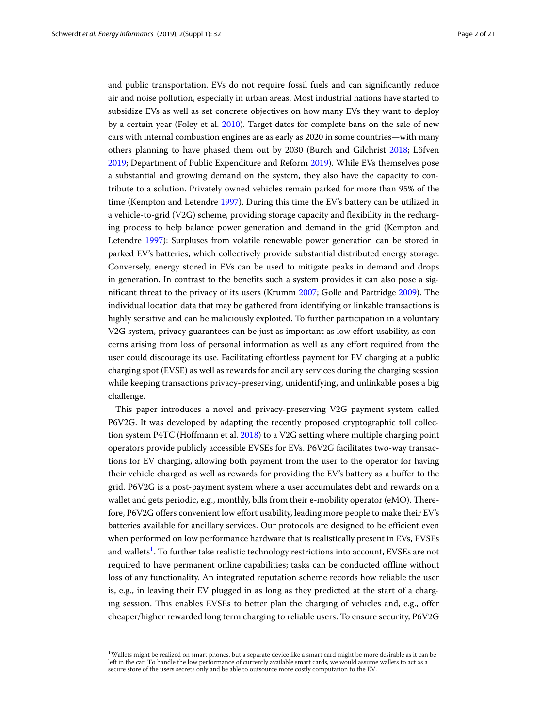and public transportation. EVs do not require fossil fuels and can significantly reduce air and noise pollution, especially in urban areas. Most industrial nations have started to subsidize EVs as well as set concrete objectives on how many EVs they want to deploy by a certain year (Foley et al. [2010\)](#page-19-0). Target dates for complete bans on the sale of new cars with internal combustion engines are as early as 2020 in some countries—with many others planning to have phased them out by 2030 (Burch and Gilchrist [2018;](#page-19-1) Löfven [2019;](#page-19-2) Department of Public Expenditure and Reform [2019\)](#page-19-3). While EVs themselves pose a substantial and growing demand on the system, they also have the capacity to contribute to a solution. Privately owned vehicles remain parked for more than 95% of the time (Kempton and Letendre [1997\)](#page-19-4). During this time the EV's battery can be utilized in a vehicle-to-grid (V2G) scheme, providing storage capacity and flexibility in the recharging process to help balance power generation and demand in the grid (Kempton and Letendre [1997\)](#page-19-4): Surpluses from volatile renewable power generation can be stored in parked EV's batteries, which collectively provide substantial distributed energy storage. Conversely, energy stored in EVs can be used to mitigate peaks in demand and drops in generation. In contrast to the benefits such a system provides it can also pose a significant threat to the privacy of its users (Krumm [2007;](#page-19-5) Golle and Partridge [2009\)](#page-19-6). The individual location data that may be gathered from identifying or linkable transactions is highly sensitive and can be maliciously exploited. To further participation in a voluntary V2G system, privacy guarantees can be just as important as low effort usability, as concerns arising from loss of personal information as well as any effort required from the user could discourage its use. Facilitating effortless payment for EV charging at a public charging spot (EVSE) as well as rewards for ancillary services during the charging session while keeping transactions privacy-preserving, unidentifying, and unlinkable poses a big challenge.

This paper introduces a novel and privacy-preserving V2G payment system called P6V2G. It was developed by adapting the recently proposed cryptographic toll collection system P4TC (Hoffmann et al. [2018\)](#page-19-7) to a V2G setting where multiple charging point operators provide publicly accessible EVSEs for EVs. P6V2G facilitates two-way transactions for EV charging, allowing both payment from the user to the operator for having their vehicle charged as well as rewards for providing the EV's battery as a buffer to the grid. P6V2G is a post-payment system where a user accumulates debt and rewards on a wallet and gets periodic, e.g., monthly, bills from their e-mobility operator (eMO). Therefore, P6V2G offers convenient low effort usability, leading more people to make their EV's batteries available for ancillary services. Our protocols are designed to be efficient even when performed on low performance hardware that is realistically present in EVs, EVSEs and wallets<sup>1</sup>. To further take realistic technology restrictions into account, EVSEs are not required to have permanent online capabilities; tasks can be conducted offline without loss of any functionality. An integrated reputation scheme records how reliable the user is, e.g., in leaving their EV plugged in as long as they predicted at the start of a charging session. This enables EVSEs to better plan the charging of vehicles and, e.g., offer cheaper/higher rewarded long term charging to reliable users. To ensure security, P6V2G

<span id="page-1-0"></span><sup>&</sup>lt;sup>1</sup>Wallets might be realized on smart phones, but a separate device like a smart card might be more desirable as it can be left in the car. To handle the low performance of currently available smart cards, we would assume wallets to act as a secure store of the users secrets only and be able to outsource more costly computation to the EV.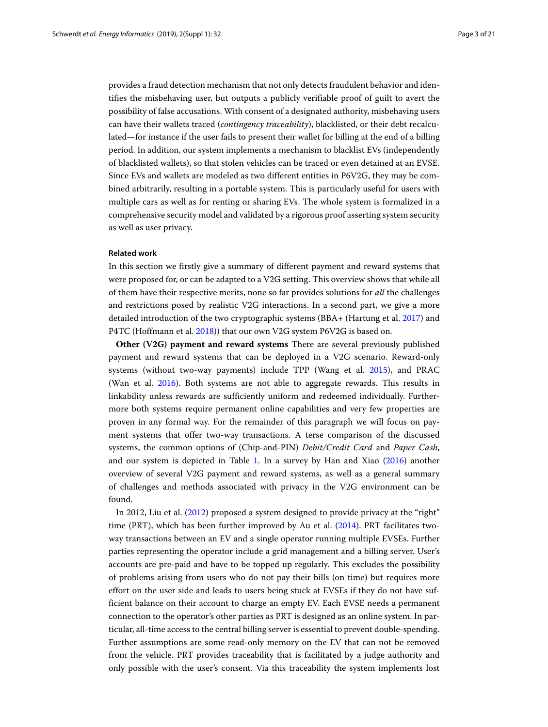provides a fraud detection mechanism that not only detects fraudulent behavior and identifies the misbehaving user, but outputs a publicly verifiable proof of guilt to avert the possibility of false accusations. With consent of a designated authority, misbehaving users can have their wallets traced (*contingency traceability*), blacklisted, or their debt recalculated—for instance if the user fails to present their wallet for billing at the end of a billing period. In addition, our system implements a mechanism to blacklist EVs (independently of blacklisted wallets), so that stolen vehicles can be traced or even detained at an EVSE. Since EVs and wallets are modeled as two different entities in P6V2G, they may be combined arbitrarily, resulting in a portable system. This is particularly useful for users with multiple cars as well as for renting or sharing EVs. The whole system is formalized in a comprehensive security model and validated by a rigorous proof asserting system security as well as user privacy.

#### **Related work**

In this section we firstly give a summary of different payment and reward systems that were proposed for, or can be adapted to a V2G setting. This overview shows that while all of them have their respective merits, none so far provides solutions for *all* the challenges and restrictions posed by realistic V2G interactions. In a second part, we give a more detailed introduction of the two cryptographic systems (BBA+ (Hartung et al. [2017\)](#page-19-8) and P4TC (Hoffmann et al. [2018\)](#page-19-7)) that our own V2G system P6V2G is based on.

**Other (V2G) payment and reward systems** There are several previously published payment and reward systems that can be deployed in a V2G scenario. Reward-only systems (without two-way payments) include TPP (Wang et al. [2015\)](#page-20-0), and PRAC (Wan et al. [2016\)](#page-20-1). Both systems are not able to aggregate rewards. This results in linkability unless rewards are sufficiently uniform and redeemed individually. Furthermore both systems require permanent online capabilities and very few properties are proven in any formal way. For the remainder of this paragraph we will focus on payment systems that offer two-way transactions. A terse comparison of the discussed systems, the common options of (Chip-and-PIN) *Debit/Credit Card* and *Paper Cash*, and our system is depicted in Table [1.](#page-3-0) In a survey by Han and Xiao [\(2016\)](#page-19-9) another overview of several V2G payment and reward systems, as well as a general summary of challenges and methods associated with privacy in the V2G environment can be found.

In 2012, Liu et al. [\(2012\)](#page-19-10) proposed a system designed to provide privacy at the "right" time (PRT), which has been further improved by Au et al. [\(2014\)](#page-19-11). PRT facilitates twoway transactions between an EV and a single operator running multiple EVSEs. Further parties representing the operator include a grid management and a billing server. User's accounts are pre-paid and have to be topped up regularly. This excludes the possibility of problems arising from users who do not pay their bills (on time) but requires more effort on the user side and leads to users being stuck at EVSEs if they do not have sufficient balance on their account to charge an empty EV. Each EVSE needs a permanent connection to the operator's other parties as PRT is designed as an online system. In particular, all-time access to the central billing server is essential to prevent double-spending. Further assumptions are some read-only memory on the EV that can not be removed from the vehicle. PRT provides traceability that is facilitated by a judge authority and only possible with the user's consent. Via this traceability the system implements lost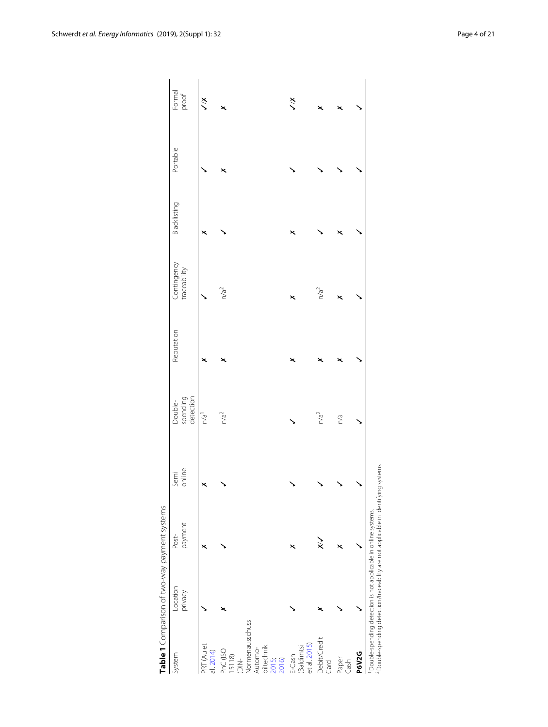<span id="page-3-0"></span>

|                                                            |                                                                | Table 1 Comparison of two-way payment systems                                                 |                |                                  |            |                             |              |          |                 |
|------------------------------------------------------------|----------------------------------------------------------------|-----------------------------------------------------------------------------------------------|----------------|----------------------------------|------------|-----------------------------|--------------|----------|-----------------|
| System                                                     | Location<br>privacy                                            | payment<br>Post-                                                                              | online<br>Semi | spending<br>detection<br>Double- | Reputation | Contingency<br>traceability | Blacklisting | Portable | Formal<br>proof |
| PRT (Au et<br>al. 2014)                                    |                                                                | ×                                                                                             | ×              | n/a <sup>1</sup>                 | ×          |                             | ×            |          | $\lesssim$      |
| PnC (ISO<br>15118)<br>È.                                   |                                                                |                                                                                               |                | n/a <sup>2</sup>                 | ×          | n/a <sup>2</sup>            |              | ×        | ×               |
| Vormenausschuss<br>biltechnik<br>2015;<br>Automo-<br>2016) |                                                                |                                                                                               |                |                                  |            |                             |              |          |                 |
| et al. 2015)<br><b>Baldimtsi</b><br>E-Cash                 |                                                                | ×                                                                                             |                |                                  | ×          | ×                           | ×            |          | $\frac{x}{x}$   |
| Debit/Credit<br>Card                                       |                                                                | $\check{\times}$                                                                              |                | n/a <sup>2</sup>                 |            | n/a <sup>2</sup>            |              |          |                 |
| Paper<br>Cash                                              |                                                                |                                                                                               |                | n/a                              | ×          |                             |              |          |                 |
| <b>P6V2G</b>                                               |                                                                |                                                                                               |                |                                  |            |                             |              |          |                 |
|                                                            | Double-spending detection is not applicable in online systems. | <sup>2</sup> Double-spending detection/traceability are not applicable in identifying systems |                |                                  |            |                             |              |          |                 |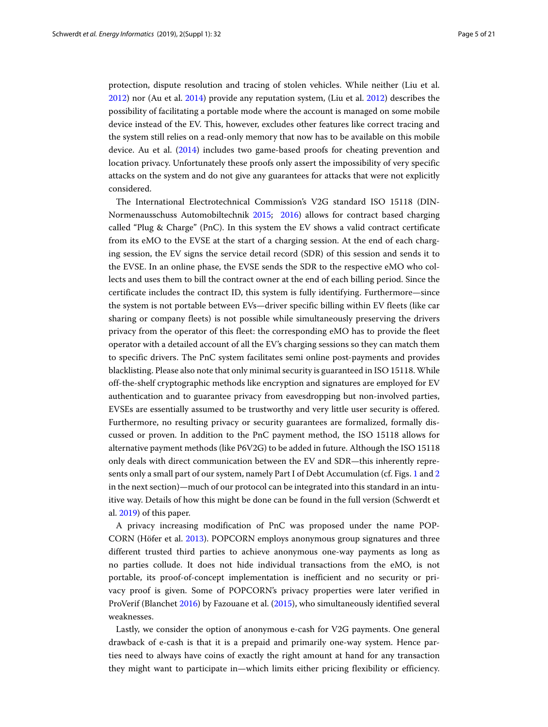protection, dispute resolution and tracing of stolen vehicles. While neither (Liu et al. [2012\)](#page-19-10) nor (Au et al. [2014\)](#page-19-11) provide any reputation system, (Liu et al. [2012\)](#page-19-10) describes the possibility of facilitating a portable mode where the account is managed on some mobile device instead of the EV. This, however, excludes other features like correct tracing and the system still relies on a read-only memory that now has to be available on this mobile device. Au et al. [\(2014\)](#page-19-11) includes two game-based proofs for cheating prevention and location privacy. Unfortunately these proofs only assert the impossibility of very specific attacks on the system and do not give any guarantees for attacks that were not explicitly considered.

The International Electrotechnical Commission's V2G standard ISO 15118 (DIN-Normenausschuss Automobiltechnik [2015;](#page-19-12) [2016\)](#page-19-13) allows for contract based charging called "Plug & Charge" (PnC). In this system the EV shows a valid contract certificate from its eMO to the EVSE at the start of a charging session. At the end of each charging session, the EV signs the service detail record (SDR) of this session and sends it to the EVSE. In an online phase, the EVSE sends the SDR to the respective eMO who collects and uses them to bill the contract owner at the end of each billing period. Since the certificate includes the contract ID, this system is fully identifying. Furthermore—since the system is not portable between EVs—driver specific billing within EV fleets (like car sharing or company fleets) is not possible while simultaneously preserving the drivers privacy from the operator of this fleet: the corresponding eMO has to provide the fleet operator with a detailed account of all the EV's charging sessions so they can match them to specific drivers. The PnC system facilitates semi online post-payments and provides blacklisting. Please also note that only minimal security is guaranteed in ISO 15118. While off-the-shelf cryptographic methods like encryption and signatures are employed for EV authentication and to guarantee privacy from eavesdropping but non-involved parties, EVSEs are essentially assumed to be trustworthy and very little user security is offered. Furthermore, no resulting privacy or security guarantees are formalized, formally discussed or proven. In addition to the PnC payment method, the ISO 15118 allows for alternative payment methods (like P6V2G) to be added in future. Although the ISO 15118 only deals with direct communication between the EV and SDR—this inherently represents only a small part of our system, namely Part I of Debt Accumulation (cf. Figs. [1](#page-6-0) and [2](#page-12-0) in the next section)—much of our protocol can be integrated into this standard in an intuitive way. Details of how this might be done can be found in the full version (Schwerdt et al. [2019\)](#page-20-2) of this paper.

A privacy increasing modification of PnC was proposed under the name POP-CORN (Höfer et al. [2013\)](#page-19-15). POPCORN employs anonymous group signatures and three different trusted third parties to achieve anonymous one-way payments as long as no parties collude. It does not hide individual transactions from the eMO, is not portable, its proof-of-concept implementation is inefficient and no security or privacy proof is given. Some of POPCORN's privacy properties were later verified in ProVerif (Blanchet [2016\)](#page-19-16) by Fazouane et al. [\(2015\)](#page-19-17), who simultaneously identified several weaknesses.

Lastly, we consider the option of anonymous e-cash for V2G payments. One general drawback of e-cash is that it is a prepaid and primarily one-way system. Hence parties need to always have coins of exactly the right amount at hand for any transaction they might want to participate in—which limits either pricing flexibility or efficiency.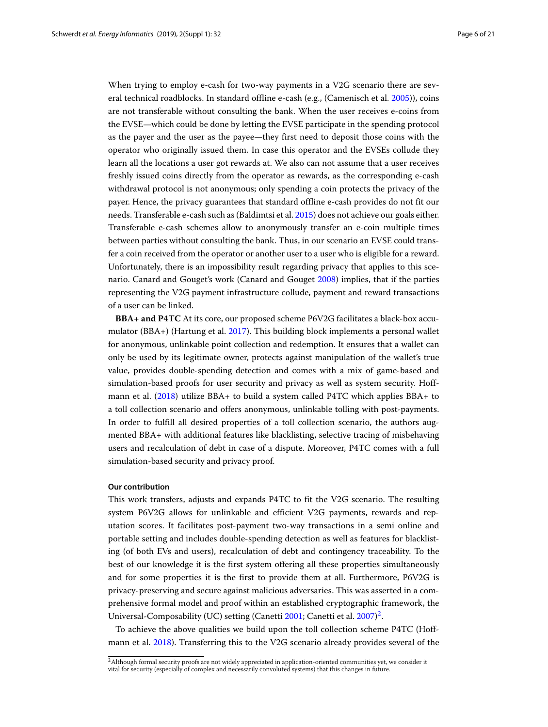When trying to employ e-cash for two-way payments in a V2G scenario there are several technical roadblocks. In standard offline e-cash (e.g., (Camenisch et al. [2005\)](#page-19-18)), coins are not transferable without consulting the bank. When the user receives e-coins from the EVSE—which could be done by letting the EVSE participate in the spending protocol as the payer and the user as the payee—they first need to deposit those coins with the operator who originally issued them. In case this operator and the EVSEs collude they learn all the locations a user got rewards at. We also can not assume that a user receives freshly issued coins directly from the operator as rewards, as the corresponding e-cash withdrawal protocol is not anonymous; only spending a coin protects the privacy of the payer. Hence, the privacy guarantees that standard offline e-cash provides do not fit our needs. Transferable e-cash such as (Baldimtsi et al. [2015\)](#page-19-14) does not achieve our goals either. Transferable e-cash schemes allow to anonymously transfer an e-coin multiple times between parties without consulting the bank. Thus, in our scenario an EVSE could transfer a coin received from the operator or another user to a user who is eligible for a reward. Unfortunately, there is an impossibility result regarding privacy that applies to this scenario. Canard and Gouget's work (Canard and Gouget [2008\)](#page-19-19) implies, that if the parties representing the V2G payment infrastructure collude, payment and reward transactions of a user can be linked.

**BBA+ and P4TC** At its core, our proposed scheme P6V2G facilitates a black-box accumulator (BBA+) (Hartung et al. [2017\)](#page-19-8). This building block implements a personal wallet for anonymous, unlinkable point collection and redemption. It ensures that a wallet can only be used by its legitimate owner, protects against manipulation of the wallet's true value, provides double-spending detection and comes with a mix of game-based and simulation-based proofs for user security and privacy as well as system security. Hoffmann et al. [\(2018\)](#page-19-7) utilize BBA+ to build a system called P4TC which applies BBA+ to a toll collection scenario and offers anonymous, unlinkable tolling with post-payments. In order to fulfill all desired properties of a toll collection scenario, the authors augmented BBA+ with additional features like blacklisting, selective tracing of misbehaving users and recalculation of debt in case of a dispute. Moreover, P4TC comes with a full simulation-based security and privacy proof.

#### **Our contribution**

This work transfers, adjusts and expands P4TC to fit the V2G scenario. The resulting system P6V2G allows for unlinkable and efficient V2G payments, rewards and reputation scores. It facilitates post-payment two-way transactions in a semi online and portable setting and includes double-spending detection as well as features for blacklisting (of both EVs and users), recalculation of debt and contingency traceability. To the best of our knowledge it is the first system offering all these properties simultaneously and for some properties it is the first to provide them at all. Furthermore, P6V2G is privacy-preserving and secure against malicious adversaries. This was asserted in a comprehensive formal model and proof within an established cryptographic framework, the Universal-Composability (UC) setting (Canetti [2001;](#page-19-20) Canetti et al. [2007\)](#page-19-21)<sup>2</sup>.

To achieve the above qualities we build upon the toll collection scheme P4TC (Hoffmann et al. [2018\)](#page-19-7). Transferring this to the V2G scenario already provides several of the

<span id="page-5-0"></span><sup>&</sup>lt;sup>2</sup>Although formal security proofs are not widely appreciated in application-oriented communities yet, we consider it vital for security (especially of complex and necessarily convoluted systems) that this changes in future.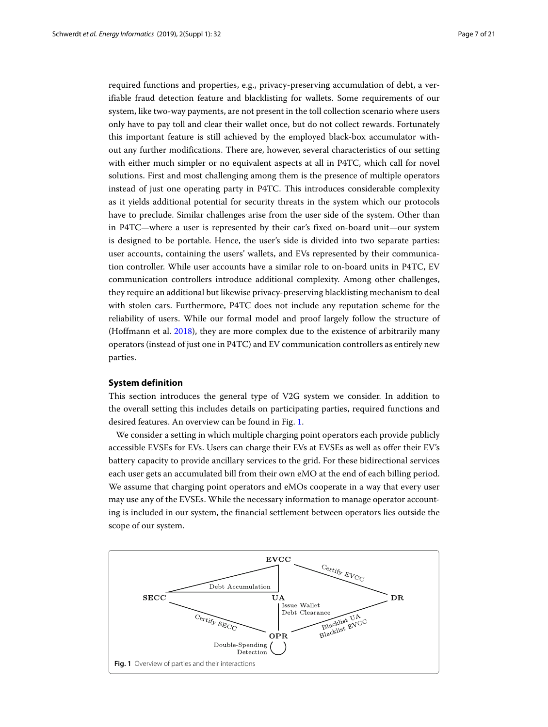required functions and properties, e.g., privacy-preserving accumulation of debt, a verifiable fraud detection feature and blacklisting for wallets. Some requirements of our system, like two-way payments, are not present in the toll collection scenario where users only have to pay toll and clear their wallet once, but do not collect rewards. Fortunately this important feature is still achieved by the employed black-box accumulator without any further modifications. There are, however, several characteristics of our setting with either much simpler or no equivalent aspects at all in P4TC, which call for novel solutions. First and most challenging among them is the presence of multiple operators instead of just one operating party in P4TC. This introduces considerable complexity as it yields additional potential for security threats in the system which our protocols have to preclude. Similar challenges arise from the user side of the system. Other than in P4TC—where a user is represented by their car's fixed on-board unit—our system is designed to be portable. Hence, the user's side is divided into two separate parties: user accounts, containing the users' wallets, and EVs represented by their communication controller. While user accounts have a similar role to on-board units in P4TC, EV communication controllers introduce additional complexity. Among other challenges, they require an additional but likewise privacy-preserving blacklisting mechanism to deal with stolen cars. Furthermore, P4TC does not include any reputation scheme for the reliability of users. While our formal model and proof largely follow the structure of (Hoffmann et al. [2018\)](#page-19-7), they are more complex due to the existence of arbitrarily many operators (instead of just one in P4TC) and EV communication controllers as entirely new parties.

#### **System definition**

This section introduces the general type of V2G system we consider. In addition to the overall setting this includes details on participating parties, required functions and desired features. An overview can be found in Fig. [1.](#page-6-0)

We consider a setting in which multiple charging point operators each provide publicly accessible EVSEs for EVs. Users can charge their EVs at EVSEs as well as offer their EV's battery capacity to provide ancillary services to the grid. For these bidirectional services each user gets an accumulated bill from their own eMO at the end of each billing period. We assume that charging point operators and eMOs cooperate in a way that every user may use any of the EVSEs. While the necessary information to manage operator accounting is included in our system, the financial settlement between operators lies outside the scope of our system.

<span id="page-6-0"></span>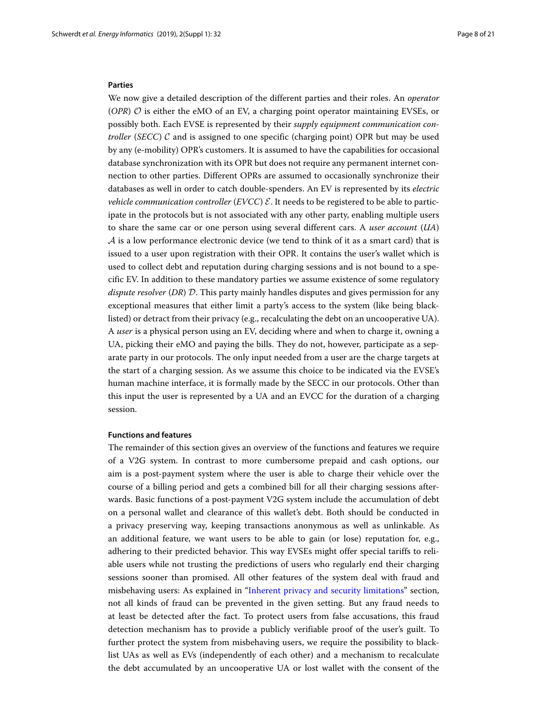#### **Parties**

We now give a detailed description of the different parties and their roles. An *operator*  $(OPR)$   $O$  is either the eMO of an EV, a charging point operator maintaining EVSEs, or possibly both. Each EVSE is represented by their *supply equipment communication controller* (*SECC*)  $C$  and is assigned to one specific (charging point) OPR but may be used by any (e-mobility) OPR's customers. It is assumed to have the capabilities for occasional database synchronization with its OPR but does not require any permanent internet connection to other parties. Different OPRs are assumed to occasionally synchronize their databases as well in order to catch double-spenders. An EV is represented by its *electric vehicle communication controller* (*EVCC*)  $\mathcal{E}$ . It needs to be registered to be able to participate in the protocols but is not associated with any other party, enabling multiple users to share the same car or one person using several different cars. A *user account* (*UA*)  $A$  is a low performance electronic device (we tend to think of it as a smart card) that is issued to a user upon registration with their OPR. It contains the user's wallet which is used to collect debt and reputation during charging sessions and is not bound to a specific EV. In addition to these mandatory parties we assume existence of some regulatory *dispute resolver* (*DR*) D. This party mainly handles disputes and gives permission for any exceptional measures that either limit a party's access to the system (like being blacklisted) or detract from their privacy (e.g., recalculating the debt on an uncooperative UA). A *user* is a physical person using an EV, deciding where and when to charge it, owning a UA, picking their eMO and paying the bills. They do not, however, participate as a separate party in our protocols. The only input needed from a user are the charge targets at the start of a charging session. As we assume this choice to be indicated via the EVSE's human machine interface, it is formally made by the SECC in our protocols. Other than this input the user is represented by a UA and an EVCC for the duration of a charging session.

#### **Functions and features**

The remainder of this section gives an overview of the functions and features we require of a V2G system. In contrast to more cumbersome prepaid and cash options, our aim is a post-payment system where the user is able to charge their vehicle over the course of a billing period and gets a combined bill for all their charging sessions afterwards. Basic functions of a post-payment V2G system include the accumulation of debt on a personal wallet and clearance of this wallet's debt. Both should be conducted in a privacy preserving way, keeping transactions anonymous as well as unlinkable. As an additional feature, we want users to be able to gain (or lose) reputation for, e.g., adhering to their predicted behavior. This way EVSEs might offer special tariffs to reliable users while not trusting the predictions of users who regularly end their charging sessions sooner than promised. All other features of the system deal with fraud and misbehaving users: As explained in ["Inherent privacy and security limitations"](#page-15-0) section, not all kinds of fraud can be prevented in the given setting. But any fraud needs to at least be detected after the fact. To protect users from false accusations, this fraud detection mechanism has to provide a publicly verifiable proof of the user's guilt. To further protect the system from misbehaving users, we require the possibility to blacklist UAs as well as EVs (independently of each other) and a mechanism to recalculate the debt accumulated by an uncooperative UA or lost wallet with the consent of the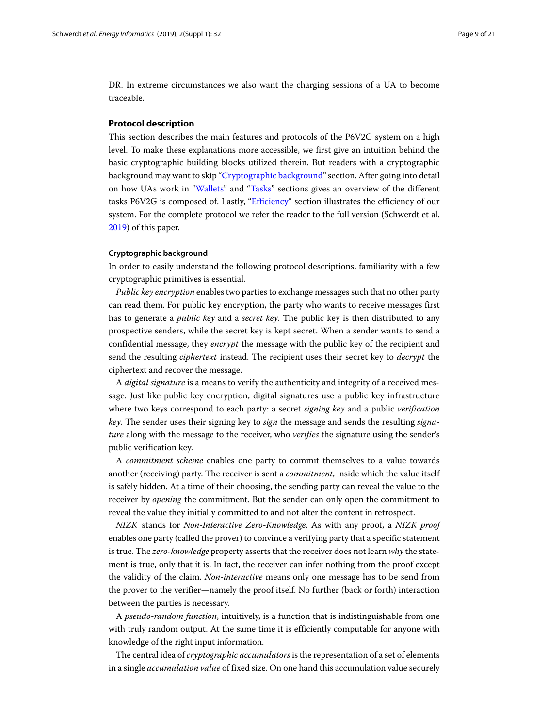DR. In extreme circumstances we also want the charging sessions of a UA to become traceable.

#### **Protocol description**

This section describes the main features and protocols of the P6V2G system on a high level. To make these explanations more accessible, we first give an intuition behind the basic cryptographic building blocks utilized therein. But readers with a cryptographic background may want to skip ["Cryptographic background"](#page-8-0) section. After going into detail on how UAs work in ["Wallets"](#page-9-0) and ["Tasks"](#page-10-0) sections gives an overview of the different tasks P6V2G is composed of. Lastly, ["Efficiency"](#page-13-0) section illustrates the efficiency of our system. For the complete protocol we refer the reader to the full version (Schwerdt et al. [2019\)](#page-20-2) of this paper.

#### <span id="page-8-0"></span>**Cryptographic background**

In order to easily understand the following protocol descriptions, familiarity with a few cryptographic primitives is essential.

*Public key encryption* enables two parties to exchange messages such that no other party can read them. For public key encryption, the party who wants to receive messages first has to generate a *public key* and a *secret key*. The public key is then distributed to any prospective senders, while the secret key is kept secret. When a sender wants to send a confidential message, they *encrypt* the message with the public key of the recipient and send the resulting *ciphertext* instead. The recipient uses their secret key to *decrypt* the ciphertext and recover the message.

A *digital signature* is a means to verify the authenticity and integrity of a received message. Just like public key encryption, digital signatures use a public key infrastructure where two keys correspond to each party: a secret *signing key* and a public *verification key*. The sender uses their signing key to *sign* the message and sends the resulting *signature* along with the message to the receiver, who *verifies* the signature using the sender's public verification key.

A *commitment scheme* enables one party to commit themselves to a value towards another (receiving) party. The receiver is sent a *commitment*, inside which the value itself is safely hidden. At a time of their choosing, the sending party can reveal the value to the receiver by *opening* the commitment. But the sender can only open the commitment to reveal the value they initially committed to and not alter the content in retrospect.

*NIZK* stands for *Non-Interactive Zero-Knowledge*. As with any proof, a *NIZK proof* enables one party (called the prover) to convince a verifying party that a specific statement is true. The *zero-knowledge* property asserts that the receiver does not learn *why* the statement is true, only that it is. In fact, the receiver can infer nothing from the proof except the validity of the claim. *Non-interactive* means only one message has to be send from the prover to the verifier—namely the proof itself. No further (back or forth) interaction between the parties is necessary.

A *pseudo-random function*, intuitively, is a function that is indistinguishable from one with truly random output. At the same time it is efficiently computable for anyone with knowledge of the right input information.

The central idea of *cryptographic accumulators* is the representation of a set of elements in a single *accumulation value* of fixed size. On one hand this accumulation value securely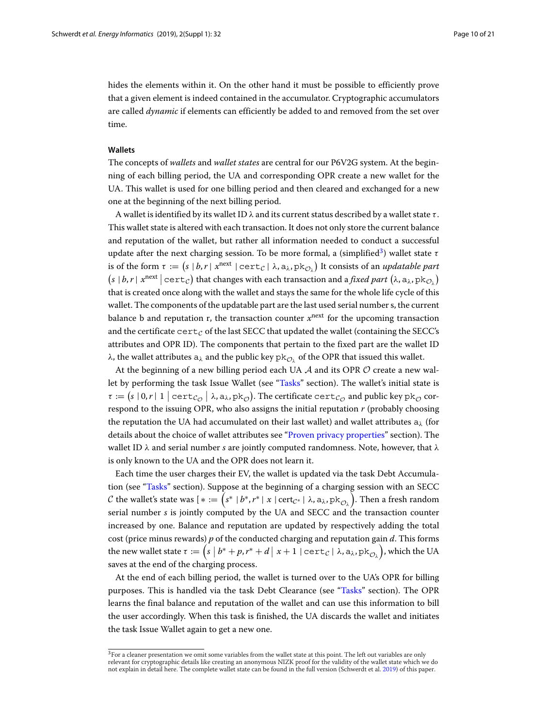hides the elements within it. On the other hand it must be possible to efficiently prove that a given element is indeed contained in the accumulator. Cryptographic accumulators are called *dynamic* if elements can efficiently be added to and removed from the set over time.

#### <span id="page-9-0"></span>**Wallets**

The concepts of *wallets* and *wallet states* are central for our P6V2G system. At the beginning of each billing period, the UA and corresponding OPR create a new wallet for the UA. This wallet is used for one billing period and then cleared and exchanged for a new one at the beginning of the next billing period.

A wallet is identified by its wallet ID  $\lambda$  and its current status described by a wallet state  $\tau$ . This wallet state is altered with each transaction. It does not only store the current balance and reputation of the wallet, but rather all information needed to conduct a successful update after the next charging session. To be more formal, a (simplified<sup>3</sup>) wallet state  $\tau$ is of the form  $\tau := (s \mid b, r \mid x^{next} \mid cert_C \mid \lambda, a_\lambda, pk_C)$  It consists of an *updatable part*  $(s | b, r | x^{next} | \text{cert}_c)$  that changes with each transaction and a *fixed part*  $(\lambda, a_\lambda, \text{pk}_{\mathcal{O}_\lambda})$ that is created once along with the wallet and stays the same for the whole life cycle of this wallet. The components of the updatable part are the last used serial number s, the current balance b and reputation r, the transaction counter  $x^{next}$  for the upcoming transaction and the certificate  $cert_C$  of the last SECC that updated the wallet (containing the SECC's attributes and OPR ID). The components that pertain to the fixed part are the wallet ID λ, the wallet attributes  $a_\lambda$  and the public key pk<sub>Oλ</sub> of the OPR that issued this wallet.

At the beginning of a new billing period each UA  $\mathcal A$  and its OPR  $\mathcal O$  create a new wallet by performing the task Issue Wallet (see ["Tasks"](#page-10-0) section). The wallet's initial state is  $\tau := (s \mid 0, r \mid 1 \mid \text{cert}_{\mathcal{C}_\mathcal{O}} \mid \lambda, a_\lambda, \text{pk}_\mathcal{O})$ . The certificate  $\text{cert}_{\mathcal{C}_\mathcal{O}}$  and public key pk<sub> $\mathcal O$ </sub> correspond to the issuing OPR, who also assigns the initial reputation *r* (probably choosing the reputation the UA had accumulated on their last wallet) and wallet attributes  $a_{\lambda}$  (for details about the choice of wallet attributes see ["Proven privacy properties"](#page-16-0) section). The wallet ID λ and serial number *s* are jointly computed randomness. Note, however, that λ is only known to the UA and the OPR does not learn it.

Each time the user charges their EV, the wallet is updated via the task Debt Accumulation (see ["Tasks"](#page-10-0) section). Suppose at the beginning of a charging session with an SECC  ${\cal C}$  the wallet's state was [ $*:=\left(s^* \mid b^*, r^* \mid x \mid \text{cert}_{\mathcal{C}^*} \mid \lambda, \textsf{a}_\lambda, \textsf{pk}_{\mathcal{O}_\lambda}\right)$ . Then a fresh random serial number *s* is jointly computed by the UA and SECC and the transaction counter increased by one. Balance and reputation are updated by respectively adding the total cost (price minus rewards) *p* of the conducted charging and reputation gain *d*. This forms the new wallet state  $\tau:=\Big(s\,\,\big|\,b^*+p,r^*+d\,\big|\;x+1\,\,|\, \texttt{cert}_\mathcal{C} \,|\; \lambda,\texttt{a}_\lambda,\texttt{pk}_{\mathcal{O}_\lambda}\Big),$  which the UA saves at the end of the charging process.

At the end of each billing period, the wallet is turned over to the UA's OPR for billing purposes. This is handled via the task Debt Clearance (see ["Tasks"](#page-10-0) section). The OPR learns the final balance and reputation of the wallet and can use this information to bill the user accordingly. When this task is finished, the UA discards the wallet and initiates the task Issue Wallet again to get a new one.

<span id="page-9-1"></span> $3$ For a cleaner presentation we omit some variables from the wallet state at this point. The left out variables are only relevant for cryptographic details like creating an anonymous NIZK proof for the validity of the wallet state which we do not explain in detail here. The complete wallet state can be found in the full version (Schwerdt et al. [2019\)](#page-20-2) of this paper.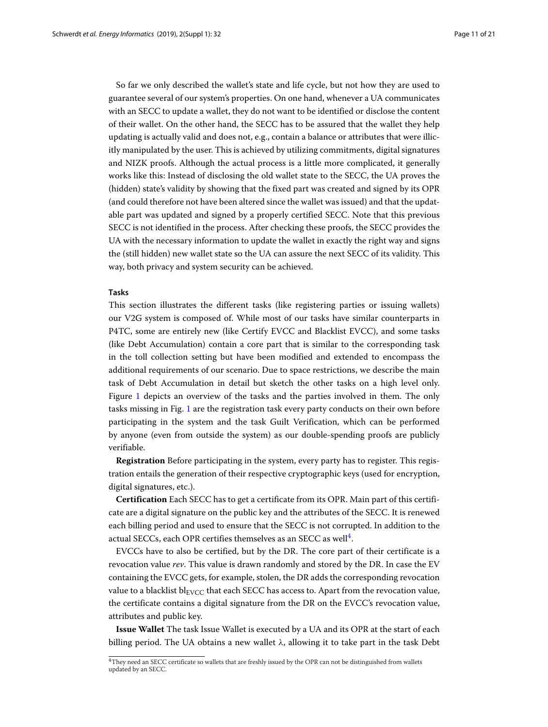So far we only described the wallet's state and life cycle, but not how they are used to guarantee several of our system's properties. On one hand, whenever a UA communicates with an SECC to update a wallet, they do not want to be identified or disclose the content of their wallet. On the other hand, the SECC has to be assured that the wallet they help updating is actually valid and does not, e.g., contain a balance or attributes that were illicitly manipulated by the user. This is achieved by utilizing commitments, digital signatures and NIZK proofs. Although the actual process is a little more complicated, it generally works like this: Instead of disclosing the old wallet state to the SECC, the UA proves the (hidden) state's validity by showing that the fixed part was created and signed by its OPR (and could therefore not have been altered since the wallet was issued) and that the updatable part was updated and signed by a properly certified SECC. Note that this previous SECC is not identified in the process. After checking these proofs, the SECC provides the UA with the necessary information to update the wallet in exactly the right way and signs the (still hidden) new wallet state so the UA can assure the next SECC of its validity. This way, both privacy and system security can be achieved.

#### <span id="page-10-0"></span>**Tasks**

This section illustrates the different tasks (like registering parties or issuing wallets) our V2G system is composed of. While most of our tasks have similar counterparts in P4TC, some are entirely new (like Certify EVCC and Blacklist EVCC), and some tasks (like Debt Accumulation) contain a core part that is similar to the corresponding task in the toll collection setting but have been modified and extended to encompass the additional requirements of our scenario. Due to space restrictions, we describe the main task of Debt Accumulation in detail but sketch the other tasks on a high level only. Figure [1](#page-6-0) depicts an overview of the tasks and the parties involved in them. The only tasks missing in Fig. [1](#page-6-0) are the registration task every party conducts on their own before participating in the system and the task Guilt Verification, which can be performed by anyone (even from outside the system) as our double-spending proofs are publicly verifiable.

**Registration** Before participating in the system, every party has to register. This registration entails the generation of their respective cryptographic keys (used for encryption, digital signatures, etc.).

**Certification** Each SECC has to get a certificate from its OPR. Main part of this certificate are a digital signature on the public key and the attributes of the SECC. It is renewed each billing period and used to ensure that the SECC is not corrupted. In addition to the actual SECCs, each OPR certifies themselves as an SECC as well<sup>[4](#page-10-1)</sup>.

EVCCs have to also be certified, but by the DR. The core part of their certificate is a revocation value *rev*. This value is drawn randomly and stored by the DR. In case the EV containing the EVCC gets, for example, stolen, the DR adds the corresponding revocation value to a blacklist  $bl_{\text{EVCC}}$  that each SECC has access to. Apart from the revocation value, the certificate contains a digital signature from the DR on the EVCC's revocation value, attributes and public key.

**Issue Wallet** The task Issue Wallet is executed by a UA and its OPR at the start of each billing period. The UA obtains a new wallet  $\lambda$ , allowing it to take part in the task Debt

<span id="page-10-1"></span><sup>&</sup>lt;sup>4</sup>They need an SECC certificate so wallets that are freshly issued by the OPR can not be distinguished from wallets updated by an SECC.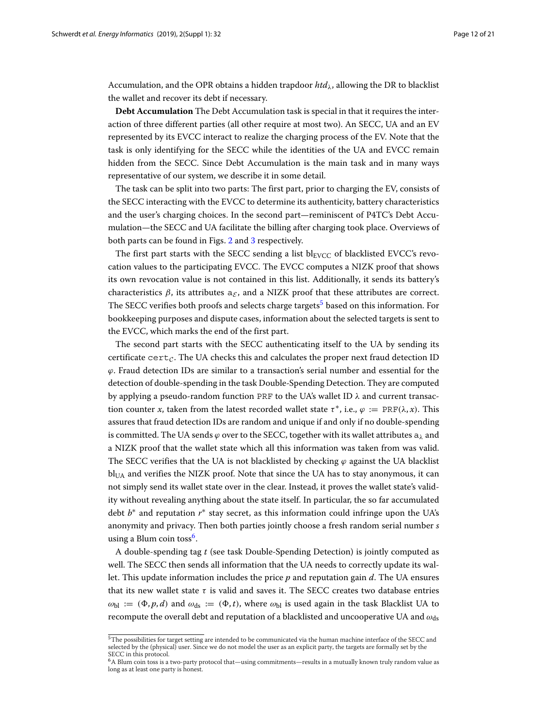Accumulation, and the OPR obtains a hidden trapdoor *htd*λ, allowing the DR to blacklist the wallet and recover its debt if necessary.

**Debt Accumulation** The Debt Accumulation task is special in that it requires the interaction of three different parties (all other require at most two). An SECC, UA and an EV represented by its EVCC interact to realize the charging process of the EV. Note that the task is only identifying for the SECC while the identities of the UA and EVCC remain hidden from the SECC. Since Debt Accumulation is the main task and in many ways representative of our system, we describe it in some detail.

The task can be split into two parts: The first part, prior to charging the EV, consists of the SECC interacting with the EVCC to determine its authenticity, battery characteristics and the user's charging choices. In the second part—reminiscent of P4TC's Debt Accumulation—the SECC and UA facilitate the billing after charging took place. Overviews of both parts can be found in Figs. [2](#page-12-0) and [3](#page-12-1) respectively.

The first part starts with the SECC sending a list  $bl_{\text{EVCC}}$  of blacklisted EVCC's revocation values to the participating EVCC. The EVCC computes a NIZK proof that shows its own revocation value is not contained in this list. Additionally, it sends its battery's characteristics  $\beta$ , its attributes  $a_{\xi}$ , and a NIZK proof that these attributes are correct. The SECC verifies both proofs and selects charge targets<sup>[5](#page-11-0)</sup> based on this information. For bookkeeping purposes and dispute cases, information about the selected targets is sent to the EVCC, which marks the end of the first part.

The second part starts with the SECC authenticating itself to the UA by sending its certificate cert<sub>c</sub>. The UA checks this and calculates the proper next fraud detection ID  $\varphi$ . Fraud detection IDs are similar to a transaction's serial number and essential for the detection of double-spending in the task Double-Spending Detection. They are computed by applying a pseudo-random function PRF to the UA's wallet ID  $\lambda$  and current transaction counter *x*, taken from the latest recorded wallet state  $\tau^*$ , i.e.,  $\varphi := \text{PRF}(\lambda, x)$ . This assures that fraud detection IDs are random and unique if and only if no double-spending is committed. The UA sends  $\varphi$  over to the SECC, together with its wallet attributes  $a_{\lambda}$  and a NIZK proof that the wallet state which all this information was taken from was valid. The SECC verifies that the UA is not blacklisted by checking  $\varphi$  against the UA blacklist  $bl<sub>UA</sub>$  and verifies the NIZK proof. Note that since the UA has to stay anonymous, it can not simply send its wallet state over in the clear. Instead, it proves the wallet state's validity without revealing anything about the state itself. In particular, the so far accumulated debt *b*∗ and reputation *r*∗ stay secret, as this information could infringe upon the UA's anonymity and privacy. Then both parties jointly choose a fresh random serial number *s* using a Blum coin toss<sup>6</sup>.

A double-spending tag *t* (see task Double-Spending Detection) is jointly computed as well. The SECC then sends all information that the UA needs to correctly update its wallet. This update information includes the price *p* and reputation gain *d*. The UA ensures that its new wallet state  $\tau$  is valid and saves it. The SECC creates two database entries  $\omega_{bl}$  := ( $\Phi$ , *p*, *d*) and  $\omega_{ds}$  := ( $\Phi$ , *t*), where  $\omega_{bl}$  is used again in the task Blacklist UA to recompute the overall debt and reputation of a blacklisted and uncooperative UA and  $\omega_{ds}$ 

<span id="page-11-0"></span><sup>5</sup>The possibilities for target setting are intended to be communicated via the human machine interface of the SECC and selected by the (physical) user. Since we do not model the user as an explicit party, the targets are formally set by the

<span id="page-11-1"></span>SECC in this protocol. <sup>6</sup>A Blum coin toss is a two-party protocol that—using commitments—results in a mutually known truly random value as long as at least one party is honest.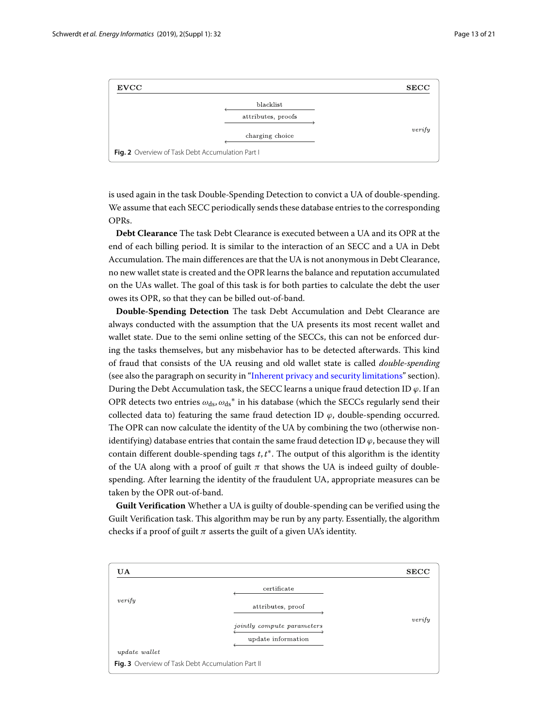

<span id="page-12-0"></span>is used again in the task Double-Spending Detection to convict a UA of double-spending. We assume that each SECC periodically sends these database entries to the corresponding OPRs.

**Debt Clearance** The task Debt Clearance is executed between a UA and its OPR at the end of each billing period. It is similar to the interaction of an SECC and a UA in Debt Accumulation. The main differences are that the UA is not anonymous in Debt Clearance, no new wallet state is created and the OPR learns the balance and reputation accumulated on the UAs wallet. The goal of this task is for both parties to calculate the debt the user owes its OPR, so that they can be billed out-of-band.

**Double-Spending Detection** The task Debt Accumulation and Debt Clearance are always conducted with the assumption that the UA presents its most recent wallet and wallet state. Due to the semi online setting of the SECCs, this can not be enforced during the tasks themselves, but any misbehavior has to be detected afterwards. This kind of fraud that consists of the UA reusing and old wallet state is called *double-spending* (see also the paragraph on security in ["Inherent privacy and security limitations"](#page-15-0) section). During the Debt Accumulation task, the SECC learns a unique fraud detection ID  $\varphi$ . If an OPR detects two entries  $\omega_{ds}$ ,  $\omega_{ds}^*$  in his database (which the SECCs regularly send their collected data to) featuring the same fraud detection ID  $\varphi$ , double-spending occurred. The OPR can now calculate the identity of the UA by combining the two (otherwise nonidentifying) database entries that contain the same fraud detection ID  $\varphi$ , because they will contain different double-spending tags *t*, *t* ∗. The output of this algorithm is the identity of the UA along with a proof of guilt  $\pi$  that shows the UA is indeed guilty of doublespending. After learning the identity of the fraudulent UA, appropriate measures can be taken by the OPR out-of-band.

**Guilt Verification** Whether a UA is guilty of double-spending can be verified using the Guilt Verification task. This algorithm may be run by any party. Essentially, the algorithm checks if a proof of guilt  $\pi$  asserts the guilt of a given UA's identity.

<span id="page-12-1"></span>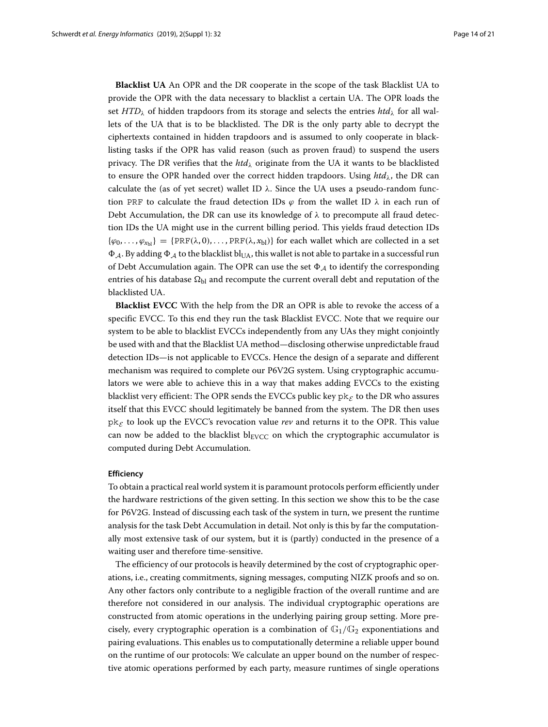**Blacklist UA** An OPR and the DR cooperate in the scope of the task Blacklist UA to provide the OPR with the data necessary to blacklist a certain UA. The OPR loads the set  $HTD<sub>\lambda</sub>$  of hidden trapdoors from its storage and selects the entries  $htd<sub>\lambda</sub>$  for all wallets of the UA that is to be blacklisted. The DR is the only party able to decrypt the ciphertexts contained in hidden trapdoors and is assumed to only cooperate in blacklisting tasks if the OPR has valid reason (such as proven fraud) to suspend the users privacy. The DR verifies that the  $htd<sub>\lambda</sub>$  originate from the UA it wants to be blacklisted to ensure the OPR handed over the correct hidden trapdoors. Using  $htd<sub>\lambda</sub>$ , the DR can calculate the (as of yet secret) wallet ID  $\lambda$ . Since the UA uses a pseudo-random function PRF to calculate the fraud detection IDs  $\varphi$  from the wallet ID  $\lambda$  in each run of Debt Accumulation, the DR can use its knowledge of  $\lambda$  to precompute all fraud detection IDs the UA might use in the current billing period. This yields fraud detection IDs  $\{\varphi_0, \ldots, \varphi_{x_{b}}\} = \{\text{PRF}(\lambda, 0), \ldots, \text{PRF}(\lambda, x_{b})\}$  for each wallet which are collected in a set  $\Phi_{\mathcal{A}}$ . By adding  $\Phi_{\mathcal{A}}$  to the blacklist bl<sub>UA</sub>, this wallet is not able to partake in a successful run of Debt Accumulation again. The OPR can use the set  $\Phi_A$  to identify the corresponding entries of his database  $\Omega_{bl}$  and recompute the current overall debt and reputation of the blacklisted UA.

**Blacklist EVCC** With the help from the DR an OPR is able to revoke the access of a specific EVCC. To this end they run the task Blacklist EVCC. Note that we require our system to be able to blacklist EVCCs independently from any UAs they might conjointly be used with and that the Blacklist UA method—disclosing otherwise unpredictable fraud detection IDs—is not applicable to EVCCs. Hence the design of a separate and different mechanism was required to complete our P6V2G system. Using cryptographic accumulators we were able to achieve this in a way that makes adding EVCCs to the existing blacklist very efficient: The OPR sends the EVCCs public key  $pk_{\mathcal{E}}$  to the DR who assures itself that this EVCC should legitimately be banned from the system. The DR then uses  $pk_{\mathcal{E}}$  to look up the EVCC's revocation value *rev* and returns it to the OPR. This value can now be added to the blacklist  $bl_{EVCC}$  on which the cryptographic accumulator is computed during Debt Accumulation.

#### <span id="page-13-0"></span>**Efficiency**

To obtain a practical real world system it is paramount protocols perform efficiently under the hardware restrictions of the given setting. In this section we show this to be the case for P6V2G. Instead of discussing each task of the system in turn, we present the runtime analysis for the task Debt Accumulation in detail. Not only is this by far the computationally most extensive task of our system, but it is (partly) conducted in the presence of a waiting user and therefore time-sensitive.

The efficiency of our protocols is heavily determined by the cost of cryptographic operations, i.e., creating commitments, signing messages, computing NIZK proofs and so on. Any other factors only contribute to a negligible fraction of the overall runtime and are therefore not considered in our analysis. The individual cryptographic operations are constructed from atomic operations in the underlying pairing group setting. More precisely, every cryptographic operation is a combination of  $\mathbb{G}_1/\mathbb{G}_2$  exponentiations and pairing evaluations. This enables us to computationally determine a reliable upper bound on the runtime of our protocols: We calculate an upper bound on the number of respective atomic operations performed by each party, measure runtimes of single operations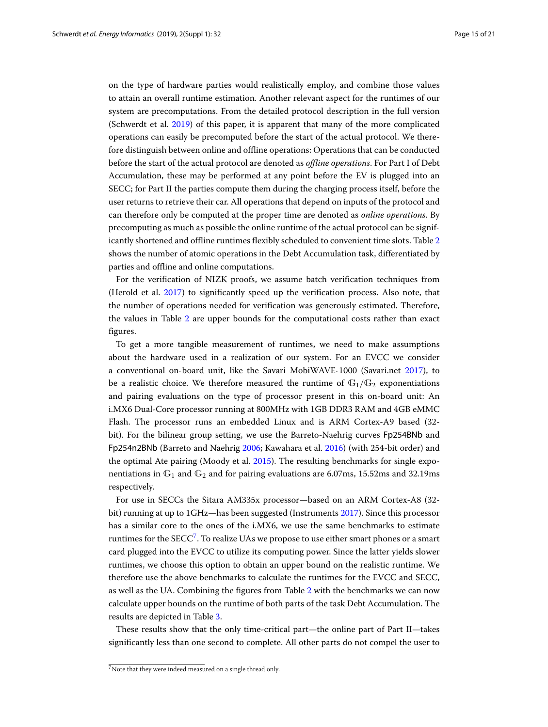on the type of hardware parties would realistically employ, and combine those values to attain an overall runtime estimation. Another relevant aspect for the runtimes of our system are precomputations. From the detailed protocol description in the full version (Schwerdt et al. [2019\)](#page-20-2) of this paper, it is apparent that many of the more complicated operations can easily be precomputed before the start of the actual protocol. We therefore distinguish between online and offline operations: Operations that can be conducted before the start of the actual protocol are denoted as *offline operations*. For Part I of Debt Accumulation, these may be performed at any point before the EV is plugged into an SECC; for Part II the parties compute them during the charging process itself, before the user returns to retrieve their car. All operations that depend on inputs of the protocol and can therefore only be computed at the proper time are denoted as *online operations*. By precomputing as much as possible the online runtime of the actual protocol can be significantly shortened and offline runtimes flexibly scheduled to convenient time slots. Table [2](#page-15-1) shows the number of atomic operations in the Debt Accumulation task, differentiated by parties and offline and online computations.

For the verification of NIZK proofs, we assume batch verification techniques from (Herold et al. [2017\)](#page-19-22) to significantly speed up the verification process. Also note, that the number of operations needed for verification was generously estimated. Therefore, the values in Table [2](#page-15-1) are upper bounds for the computational costs rather than exact figures.

To get a more tangible measurement of runtimes, we need to make assumptions about the hardware used in a realization of our system. For an EVCC we consider a conventional on-board unit, like the Savari MobiWAVE-1000 (Savari.net [2017\)](#page-19-23), to be a realistic choice. We therefore measured the runtime of  $\mathbb{G}_1/\mathbb{G}_2$  exponentiations and pairing evaluations on the type of processor present in this on-board unit: An i.MX6 Dual-Core processor running at 800MHz with 1GB DDR3 RAM and 4GB eMMC Flash. The processor runs an embedded Linux and is ARM Cortex-A9 based (32 bit). For the bilinear group setting, we use the Barreto-Naehrig curves Fp254BNb and Fp254n2BNb (Barreto and Naehrig [2006;](#page-19-24) Kawahara et al. [2016\)](#page-19-25) (with 254-bit order) and the optimal Ate pairing (Moody et al. [2015\)](#page-19-26). The resulting benchmarks for single exponentiations in  $\mathbb{G}_1$  and  $\mathbb{G}_2$  and for pairing evaluations are 6.07ms, 15.52ms and 32.19ms respectively.

For use in SECCs the Sitara AM335x processor—based on an ARM Cortex-A8 (32 bit) running at up to 1GHz—has been suggested (Instruments [2017\)](#page-19-27). Since this processor has a similar core to the ones of the i.MX6, we use the same benchmarks to estimate runtimes for the SECC<sup>7</sup>. To realize UAs we propose to use either smart phones or a smart card plugged into the EVCC to utilize its computing power. Since the latter yields slower runtimes, we choose this option to obtain an upper bound on the realistic runtime. We therefore use the above benchmarks to calculate the runtimes for the EVCC and SECC, as well as the UA. Combining the figures from Table [2](#page-15-1) with the benchmarks we can now calculate upper bounds on the runtime of both parts of the task Debt Accumulation. The results are depicted in Table [3.](#page-16-1)

These results show that the only time-critical part—the online part of Part II—takes significantly less than one second to complete. All other parts do not compel the user to

<span id="page-14-0"></span><sup>&</sup>lt;sup>7</sup>Note that they were indeed measured on a single thread only.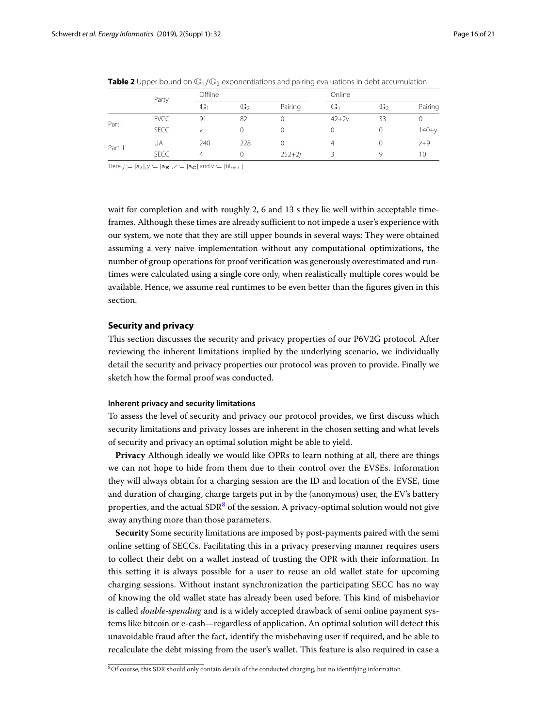<span id="page-15-1"></span>

|         | Party       | Offline        |              |            |                  | Online       |           |  |
|---------|-------------|----------------|--------------|------------|------------------|--------------|-----------|--|
|         |             | G <sub>1</sub> | $\mathbb{G}$ | Pairing    | G <sub>1</sub>   | $\mathbb{G}$ | Pairing   |  |
| Part I  | <b>EVCC</b> | 91             | 82           |            | $42 + 2v$        | 33           |           |  |
|         | <b>SECC</b> | V              | 0            |            | $\left( \right)$ |              | $140 + y$ |  |
| Part II | UA          | 240            | 228          |            | 4                |              | $Z+9$     |  |
|         | <b>SECC</b> | $\overline{4}$ | 0            | $252 + 2j$ |                  | Q            | 10        |  |

**Table 2** Upper bound on  $\mathbb{G}_1/\mathbb{G}_2$  exponentiations and pairing evaluations in debt accumulation

Here,  $j := |a_\lambda|$ ,  $y := |a_{\boldsymbol{\mathcal{E}}}|$ ,  $z := |a_{\boldsymbol{\mathcal{C}}}|$  and  $v := |b|_{\text{EVC}}|$ 

wait for completion and with roughly 2, 6 and 13 s they lie well within acceptable timeframes. Although these times are already sufficient to not impede a user's experience with our system, we note that they are still upper bounds in several ways: They were obtained assuming a very naive implementation without any computational optimizations, the number of group operations for proof verification was generously overestimated and runtimes were calculated using a single core only, when realistically multiple cores would be available. Hence, we assume real runtimes to be even better than the figures given in this section.

#### **Security and privacy**

This section discusses the security and privacy properties of our P6V2G protocol. After reviewing the inherent limitations implied by the underlying scenario, we individually detail the security and privacy properties our protocol was proven to provide. Finally we sketch how the formal proof was conducted.

#### <span id="page-15-0"></span>**Inherent privacy and security limitations**

<span id="page-15-3"></span>To assess the level of security and privacy our protocol provides, we first discuss which security limitations and privacy losses are inherent in the chosen setting and what levels of security and privacy an optimal solution might be able to yield.

**Privacy** Although ideally we would like OPRs to learn nothing at all, there are things we can not hope to hide from them due to their control over the EVSEs. Information they will always obtain for a charging session are the ID and location of the EVSE, time and duration of charging, charge targets put in by the (anonymous) user, the EV's battery properties, and the actual  $SDR<sup>8</sup>$  $SDR<sup>8</sup>$  $SDR<sup>8</sup>$  of the session. A privacy-optimal solution would not give away anything more than those parameters.

**Security** Some security limitations are imposed by post-payments paired with the semi online setting of SECCs. Facilitating this in a privacy preserving manner requires users to collect their debt on a wallet instead of trusting the OPR with their information. In this setting it is always possible for a user to reuse an old wallet state for upcoming charging sessions. Without instant synchronization the participating SECC has no way of knowing the old wallet state has already been used before. This kind of misbehavior is called *double-spending* and is a widely accepted drawback of semi online payment systems like bitcoin or e-cash—regardless of application. An optimal solution will detect this unavoidable fraud after the fact, identify the misbehaving user if required, and be able to recalculate the debt missing from the user's wallet. This feature is also required in case a

<span id="page-15-2"></span><sup>8</sup>Of course, this SDR should only contain details of the conducted charging, but no identifying information.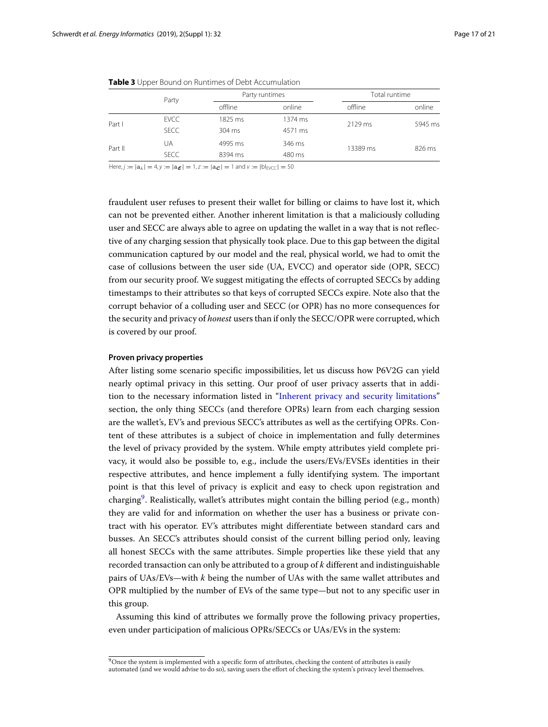<span id="page-16-1"></span>

|             |         |         | Total runtime  |                     |  |
|-------------|---------|---------|----------------|---------------------|--|
|             | offline | online  | offline        | online              |  |
| <b>EVCC</b> | 1825 ms | 1374 ms |                | 5945 ms             |  |
| <b>SECC</b> | 304 ms  | 4571 ms |                |                     |  |
| ua          | 4995 ms | 346 ms  |                | 826 ms              |  |
| <b>SECC</b> | 8394 ms | 480 ms  |                |                     |  |
|             | Party   |         | Party runtimes | 2129 ms<br>13389 ms |  |

**Table 3** Upper Bound on Runtimes of Debt Accumulation

Here,  $j := |a_{\lambda}| = 4$ ,  $y := |a_{\mathcal{E}}| = 1$ ,  $z := |a_{\mathcal{C}}| = 1$  and  $v := |b|_{\text{EVCC}}| = 50$ 

fraudulent user refuses to present their wallet for billing or claims to have lost it, which can not be prevented either. Another inherent limitation is that a maliciously colluding user and SECC are always able to agree on updating the wallet in a way that is not reflective of any charging session that physically took place. Due to this gap between the digital communication captured by our model and the real, physical world, we had to omit the case of collusions between the user side (UA, EVCC) and operator side (OPR, SECC) from our security proof. We suggest mitigating the effects of corrupted SECCs by adding timestamps to their attributes so that keys of corrupted SECCs expire. Note also that the corrupt behavior of a colluding user and SECC (or OPR) has no more consequences for the security and privacy of *honest* users than if only the SECC/OPR were corrupted, which is covered by our proof.

#### <span id="page-16-0"></span>**Proven privacy properties**

After listing some scenario specific impossibilities, let us discuss how P6V2G can yield nearly optimal privacy in this setting. Our proof of user privacy asserts that in addition to the necessary information listed in ["Inherent privacy and security limitations"](#page-15-0) section, the only thing SECCs (and therefore OPRs) learn from each charging session are the wallet's, EV's and previous SECC's attributes as well as the certifying OPRs. Content of these attributes is a subject of choice in implementation and fully determines the level of privacy provided by the system. While empty attributes yield complete privacy, it would also be possible to, e.g., include the users/EVs/EVSEs identities in their respective attributes, and hence implement a fully identifying system. The important point is that this level of privacy is explicit and easy to check upon registration and charging<sup>9</sup>. Realistically, wallet's attributes might contain the billing period (e.g., month) they are valid for and information on whether the user has a business or private contract with his operator. EV's attributes might differentiate between standard cars and busses. An SECC's attributes should consist of the current billing period only, leaving all honest SECCs with the same attributes. Simple properties like these yield that any recorded transaction can only be attributed to a group of *k* different and indistinguishable pairs of UAs/EVs—with *k* being the number of UAs with the same wallet attributes and OPR multiplied by the number of EVs of the same type—but not to any specific user in this group.

Assuming this kind of attributes we formally prove the following privacy properties, even under participation of malicious OPRs/SECCs or UAs/EVs in the system:

<span id="page-16-2"></span><sup>&</sup>lt;sup>9</sup>Once the system is implemented with a specific form of attributes, checking the content of attributes is easily automated (and we would advise to do so), saving users the effort of checking the system's privacy level themselves.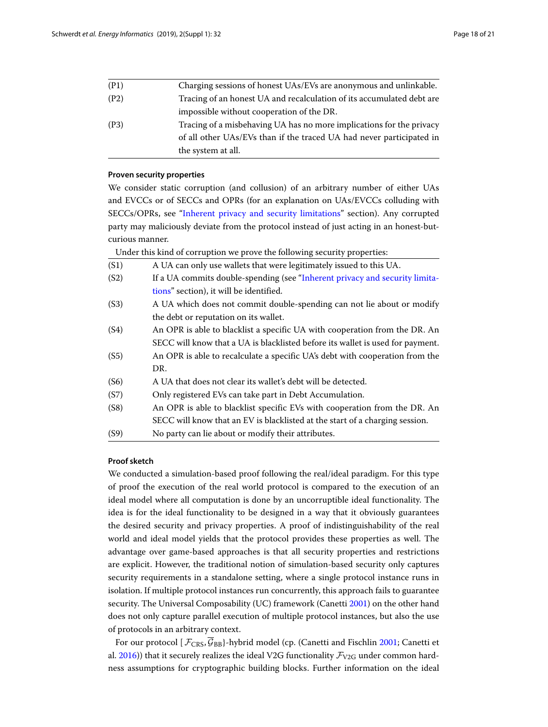|      | the system at all.                                                    |
|------|-----------------------------------------------------------------------|
|      | of all other UAs/EVs than if the traced UA had never participated in  |
| (P3) | Tracing of a misbehaving UA has no more implications for the privacy  |
|      | impossible without cooperation of the DR.                             |
| (P2) | Tracing of an honest UA and recalculation of its accumulated debt are |
| (P1) | Charging sessions of honest UAs/EVs are anonymous and unlinkable.     |

#### **Proven security properties**

We consider static corruption (and collusion) of an arbitrary number of either UAs and EVCCs or of SECCs and OPRs (for an explanation on UAs/EVCCs colluding with SECCs/OPRs, see ["Inherent privacy and security limitations"](#page-15-0) section). Any corrupted party may maliciously deviate from the protocol instead of just acting in an honest-butcurious manner.

Under this kind of corruption we prove the following security properties:

| (S1) | A UA can only use wallets that were legitimately issued to this UA.            |
|------|--------------------------------------------------------------------------------|
| (S2) | If a UA commits double-spending (see "Inherent privacy and security limita-    |
|      | tions" section), it will be identified.                                        |
| (S3) | A UA which does not commit double-spending can not lie about or modify         |
|      | the debt or reputation on its wallet.                                          |
| (S4) | An OPR is able to blacklist a specific UA with cooperation from the DR. An     |
|      | SECC will know that a UA is blacklisted before its wallet is used for payment. |
| (S5) | An OPR is able to recalculate a specific UA's debt with cooperation from the   |
|      | DR.                                                                            |
| (S6) | A UA that does not clear its wallet's debt will be detected.                   |
| (S7) | Only registered EVs can take part in Debt Accumulation.                        |
| (S8) | An OPR is able to blacklist specific EVs with cooperation from the DR. An      |
|      | SECC will know that an EV is blacklisted at the start of a charging session.   |
| (S9) | No party can lie about or modify their attributes.                             |

#### **Proof sketch**

We conducted a simulation-based proof following the real/ideal paradigm. For this type of proof the execution of the real world protocol is compared to the execution of an ideal model where all computation is done by an uncorruptible ideal functionality. The idea is for the ideal functionality to be designed in a way that it obviously guarantees the desired security and privacy properties. A proof of indistinguishability of the real world and ideal model yields that the protocol provides these properties as well. The advantage over game-based approaches is that all security properties and restrictions are explicit. However, the traditional notion of simulation-based security only captures security requirements in a standalone setting, where a single protocol instance runs in isolation. If multiple protocol instances run concurrently, this approach fails to guarantee security. The Universal Composability (UC) framework (Canetti [2001\)](#page-19-20) on the other hand does not only capture parallel execution of multiple protocol instances, but also the use of protocols in an arbitrary context.

For our protocol  $[\mathcal{F}_{CRS}, \overline{\mathcal{G}}_{BB}$ }-hybrid model (cp. (Canetti and Fischlin [2001;](#page-19-28) Canetti et al. [2016\)](#page-19-29)) that it securely realizes the ideal V2G functionality  $\mathcal{F}_{V2G}$  under common hardness assumptions for cryptographic building blocks. Further information on the ideal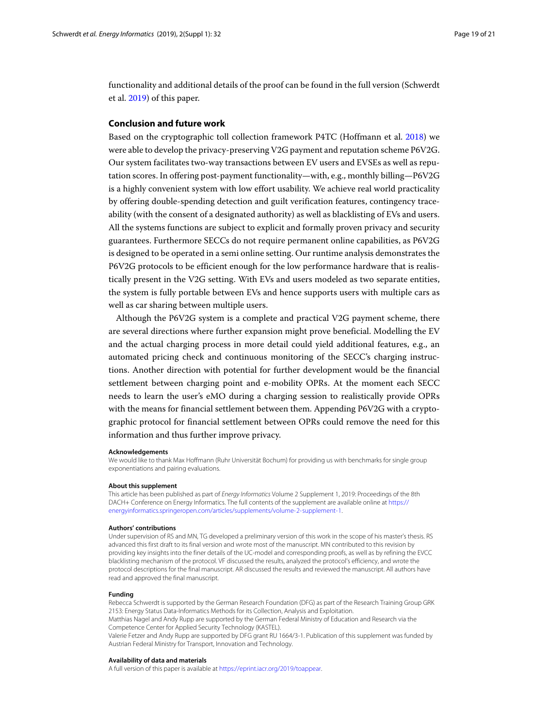functionality and additional details of the proof can be found in the full version (Schwerdt et al. [2019\)](#page-20-2) of this paper.

#### **Conclusion and future work**

Based on the cryptographic toll collection framework P4TC (Hoffmann et al. [2018\)](#page-19-7) we were able to develop the privacy-preserving V2G payment and reputation scheme P6V2G. Our system facilitates two-way transactions between EV users and EVSEs as well as reputation scores. In offering post-payment functionality—with, e.g., monthly billing—P6V2G is a highly convenient system with low effort usability. We achieve real world practicality by offering double-spending detection and guilt verification features, contingency traceability (with the consent of a designated authority) as well as blacklisting of EVs and users. All the systems functions are subject to explicit and formally proven privacy and security guarantees. Furthermore SECCs do not require permanent online capabilities, as P6V2G is designed to be operated in a semi online setting. Our runtime analysis demonstrates the P6V2G protocols to be efficient enough for the low performance hardware that is realistically present in the V2G setting. With EVs and users modeled as two separate entities, the system is fully portable between EVs and hence supports users with multiple cars as well as car sharing between multiple users.

Although the P6V2G system is a complete and practical V2G payment scheme, there are several directions where further expansion might prove beneficial. Modelling the EV and the actual charging process in more detail could yield additional features, e.g., an automated pricing check and continuous monitoring of the SECC's charging instructions. Another direction with potential for further development would be the financial settlement between charging point and e-mobility OPRs. At the moment each SECC needs to learn the user's eMO during a charging session to realistically provide OPRs with the means for financial settlement between them. Appending P6V2G with a cryptographic protocol for financial settlement between OPRs could remove the need for this information and thus further improve privacy.

#### **Acknowledgements**

We would like to thank Max Hoffmann (Ruhr Universität Bochum) for providing us with benchmarks for single group exponentiations and pairing evaluations.

#### **About this supplement**

This article has been published as part of Energy Informatics Volume 2 Supplement 1, 2019: Proceedings of the 8th DACH+ Conference on Energy Informatics. The full contents of the supplement are available online at [https://](https://energyinformatics.springeropen.com/articles/supplements/volume-2-supplement-1) [energyinformatics.springeropen.com/articles/supplements/volume-2-supplement-1.](https://energyinformatics.springeropen.com/articles/supplements/volume-2-supplement-1)

#### **Authors' contributions**

Under supervision of RS and MN, TG developed a preliminary version of this work in the scope of his master's thesis. RS advanced this first draft to its final version and wrote most of the manuscript. MN contributed to this revision by providing key insights into the finer details of the UC-model and corresponding proofs, as well as by refining the EVCC blacklisting mechanism of the protocol. VF discussed the results, analyzed the protocol's efficiency, and wrote the protocol descriptions for the final manuscript. AR discussed the results and reviewed the manuscript. All authors have read and approved the final manuscript.

#### **Funding**

Rebecca Schwerdt is supported by the German Research Foundation (DFG) as part of the Research Training Group GRK 2153: Energy Status Data-Informatics Methods for its Collection, Analysis and Exploitation.

Matthias Nagel and Andy Rupp are supported by the German Federal Ministry of Education and Research via the Competence Center for Applied Security Technology (KASTEL).

Valerie Fetzer and Andy Rupp are supported by DFG grant RU 1664/3-1. Publication of this supplement was funded by Austrian Federal Ministry for Transport, Innovation and Technology.

#### **Availability of data and materials**

A full version of this paper is available at [https://eprint.iacr.org/2019/toappear.](https://eprint.iacr.org/2019/to appear)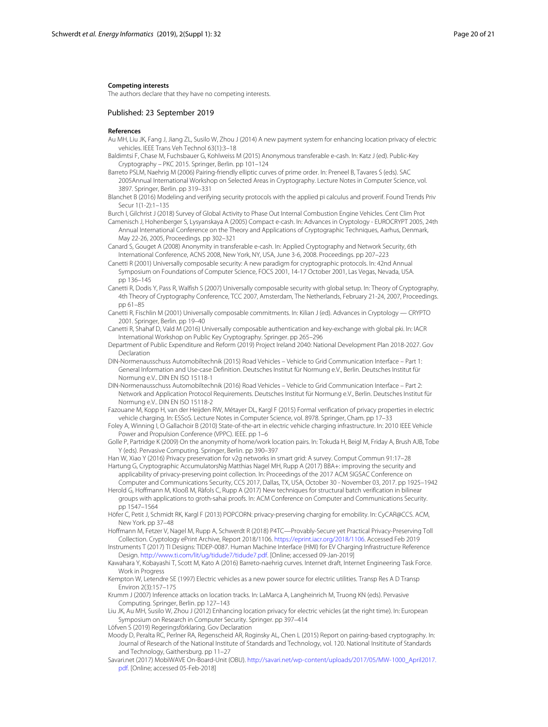#### **Competing interests**

The authors declare that they have no competing interests.

#### Published: 23 September 2019

#### **References**

- <span id="page-19-11"></span>Au MH, Liu JK, Fang J, Jiang ZL, Susilo W, Zhou J (2014) A new payment system for enhancing location privacy of electric vehicles. IEEE Trans Veh Technol 63(1):3–18
- <span id="page-19-14"></span>Baldimtsi F, Chase M, Fuchsbauer G, Kohlweiss M (2015) Anonymous transferable e-cash. In: Katz J (ed). Public-Key Cryptography – PKC 2015. Springer, Berlin. pp 101–124
- <span id="page-19-24"></span>Barreto PSLM, Naehrig M (2006) Pairing-friendly elliptic curves of prime order. In: Preneel B, Tavares S (eds). SAC 2005Annual International Workshop on Selected Areas in Cryptography. Lecture Notes in Computer Science, vol. 3897. Springer, Berlin. pp 319–331
- <span id="page-19-16"></span>Blanchet B (2016) Modeling and verifying security protocols with the applied pi calculus and proverif. Found Trends Priv Secur 1(1-2):1–135
- <span id="page-19-1"></span>Burch I, Gilchrist J (2018) Survey of Global Activity to Phase Out Internal Combustion Engine Vehicles. Cent Clim Prot
- <span id="page-19-18"></span>Camenisch J, Hohenberger S, Lysyanskaya A (2005) Compact e-cash. In: Advances in Cryptology - EUROCRYPT 2005, 24th Annual International Conference on the Theory and Applications of Cryptographic Techniques, Aarhus, Denmark, May 22-26, 2005, Proceedings. pp 302–321
- <span id="page-19-19"></span>Canard S, Gouget A (2008) Anonymity in transferable e-cash. In: Applied Cryptography and Network Security, 6th International Conference, ACNS 2008, New York, NY, USA, June 3-6, 2008. Proceedings. pp 207–223
- <span id="page-19-20"></span>Canetti R (2001) Universally composable security: A new paradigm for cryptographic protocols. In: 42nd Annual Symposium on Foundations of Computer Science, FOCS 2001, 14-17 October 2001, Las Vegas, Nevada, USA. pp 136–145
- <span id="page-19-21"></span>Canetti R, Dodis Y, Pass R, Walfish S (2007) Universally composable security with global setup. In: Theory of Cryptography, 4th Theory of Cryptography Conference, TCC 2007, Amsterdam, The Netherlands, February 21-24, 2007, Proceedings. pp 61–85
- <span id="page-19-28"></span>Canetti R, Fischlin M (2001) Universally composable commitments. In: Kilian J (ed). Advances in Cryptology — CRYPTO 2001. Springer, Berlin. pp 19–40
- <span id="page-19-29"></span>Canetti R, Shahaf D, Vald M (2016) Universally composable authentication and key-exchange with global pki. In: IACR International Workshop on Public Key Cryptography. Springer. pp 265–296
- <span id="page-19-3"></span>Department of Public Expenditure and Reform (2019) Project Ireland 2040: National Development Plan 2018-2027. Gov Declaration
- <span id="page-19-12"></span>DIN-Normenausschuss Automobiltechnik (2015) Road Vehicles – Vehicle to Grid Communication Interface – Part 1: General Information and Use-case Definition. Deutsches Institut für Normung e.V., Berlin. Deutsches Institut für Normung e.V.. DIN EN ISO 15118-1
- <span id="page-19-13"></span>DIN-Normenausschuss Automobiltechnik (2016) Road Vehicles – Vehicle to Grid Communication Interface – Part 2: Network and Application Protocol Requirements. Deutsches Institut für Normung e.V., Berlin. Deutsches Institut für Normung e.V.. DIN EN ISO 15118-2
- <span id="page-19-17"></span>Fazouane M, Kopp H, van der Heijden RW, Métayer DL, Kargl F (2015) Formal verification of privacy properties in electric vehicle charging. In: ESSoS. Lecture Notes in Computer Science, vol. 8978. Springer, Cham. pp 17–33
- <span id="page-19-0"></span>Foley A, Winning I, O Gallachoir B (2010) State-of-the-art in electric vehicle charging infrastructure. In: 2010 IEEE Vehicle Power and Propulsion Conference (VPPC). IEEE. pp 1–6
- <span id="page-19-6"></span>Golle P, Partridge K (2009) On the anonymity of home/work location pairs. In: Tokuda H, Beigl M, Friday A, Brush AJB, Tobe Y (eds). Pervasive Computing. Springer, Berlin. pp 390–397
- <span id="page-19-9"></span>Han W, Xiao Y (2016) Privacy preservation for v2g networks in smart grid: A survey. Comput Commun 91:17–28
- <span id="page-19-8"></span>Hartung G, Cryptographic AccumulatorsNg Matthias Nagel MH, Rupp A (2017) BBA+: improving the security and applicability of privacy-preserving point collection. In: Proceedings of the 2017 ACM SIGSAC Conference on
- <span id="page-19-22"></span>Computer and Communications Security, CCS 2017, Dallas, TX, USA, October 30 - November 03, 2017. pp 1925–1942 Herold G, Hoffmann M, Klooß M, Ràfols C, Rupp A (2017) New techniques for structural batch verification in bilinear groups with applications to groth-sahai proofs. In: ACM Conference on Computer and Communications Security.
- <span id="page-19-15"></span>pp 1547–1564 Höfer C, Petit J, Schmidt RK, Kargl F (2013) POPCORN: privacy-preserving charging for emobility. In: CyCAR@CCS. ACM, New York. pp 37–48
- <span id="page-19-7"></span>Hoffmann M, Fetzer V, Nagel M, Rupp A, Schwerdt R (2018) P4TC—Provably-Secure yet Practical Privacy-Preserving Toll Collection. Cryptology ePrint Archive, Report 2018/1106. [https://eprint.iacr.org/2018/1106.](https://eprint.iacr.org/2018/1106) Accessed Feb 2019
- <span id="page-19-27"></span>Instruments T (2017) TI Designs: TIDEP-0087. Human Machine Interface (HMI) for EV Charging Infrastructure Reference Design. [http://www.ti.com/lit/ug/tidude7/tidude7.pdf.](http://www.ti.com/lit/ug/tidude7/tidude7.pdf) [Online; accessed 09-Jan-2019]
- <span id="page-19-25"></span>Kawahara Y, Kobayashi T, Scott M, Kato A (2016) Barreto-naehrig curves. Internet draft, Internet Engineering Task Force. Work in Progress
- <span id="page-19-4"></span>Kempton W, Letendre SE (1997) Electric vehicles as a new power source for electric utilities. Transp Res A D Transp Environ 2(3):157–175
- <span id="page-19-5"></span>Krumm J (2007) Inference attacks on location tracks. In: LaMarca A, Langheinrich M, Truong KN (eds). Pervasive Computing. Springer, Berlin. pp 127–143
- <span id="page-19-10"></span>Liu JK, Au MH, Susilo W, Zhou J (2012) Enhancing location privacy for electric vehicles (at the right time). In: European Symposium on Research in Computer Security. Springer. pp 397–414
- <span id="page-19-2"></span>Löfven S (2019) Regeringsförklaring. Gov Declaration
- <span id="page-19-26"></span>Moody D, Peralta RC, Perlner RA, Regenscheid AR, Roginsky AL, Chen L (2015) Report on pairing-based cryptography. In: Journal of Research of the National Institute of Standards and Technology, vol. 120. National Insititute of Standards and Technology, Gaithersburg. pp 11–27
- <span id="page-19-23"></span>Savari.net (2017) MobiWAVE On-Board-Unit (OBU). [http://savari.net/wp-content/uploads/2017/05/MW-1000\\_April2017.](http://savari.net/wp-content/uploads/2017/05/MW-1000_April2017.pdf) [pdf.](http://savari.net/wp-content/uploads/2017/05/MW-1000_April2017.pdf) [Online; accessed 05-Feb-2018]